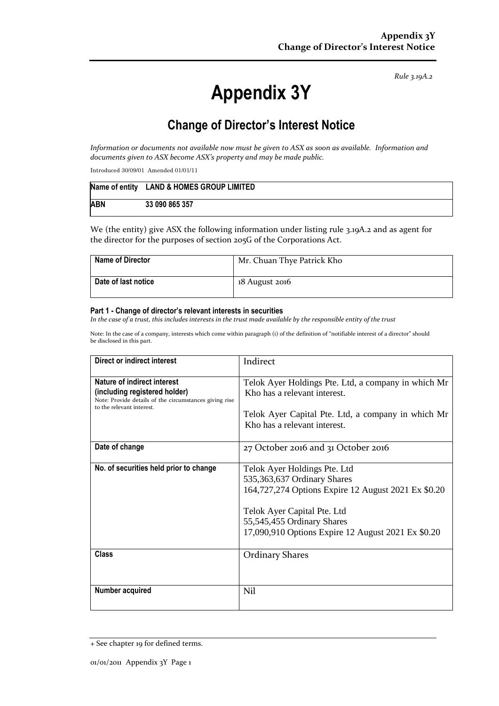*Rule 3.19A.2*

# **Appendix 3Y**

# **Change of Director's Interest Notice**

*Information or documents not available now must be given to ASX as soon as available. Information and documents given to ASX become ASX's property and may be made public.*

Introduced 30/09/01 Amended 01/01/11

|            | Name of entity LAND & HOMES GROUP LIMITED |
|------------|-------------------------------------------|
| <b>ABN</b> | 33 090 865 357                            |

We (the entity) give ASX the following information under listing rule 3.19A.2 and as agent for the director for the purposes of section 205G of the Corporations Act.

| Name of Director    | Mr. Chuan Thye Patrick Kho |
|---------------------|----------------------------|
| Date of last notice | 18 August 2016             |

#### **Part 1 - Change of director's relevant interests in securities**

*In the case of a trust, this includes interests in the trust made available by the responsible entity of the trust*

Note: In the case of a company, interests which come within paragraph (i) of the definition of "notifiable interest of a director" should be disclosed in this part.

| Direct or indirect interest                                                                                                                         | Indirect                                                                                                                                                                                                                              |  |
|-----------------------------------------------------------------------------------------------------------------------------------------------------|---------------------------------------------------------------------------------------------------------------------------------------------------------------------------------------------------------------------------------------|--|
| Nature of indirect interest<br>(including registered holder)<br>Note: Provide details of the circumstances giving rise<br>to the relevant interest. | Telok Ayer Holdings Pte. Ltd, a company in which Mr<br>Kho has a relevant interest.<br>Telok Ayer Capital Pte. Ltd, a company in which Mr<br>Kho has a relevant interest.                                                             |  |
| Date of change                                                                                                                                      | 27 October 2016 and 31 October 2016                                                                                                                                                                                                   |  |
| No. of securities held prior to change                                                                                                              | Telok Ayer Holdings Pte. Ltd<br>535,363,637 Ordinary Shares<br>164,727,274 Options Expire 12 August 2021 Ex \$0.20<br>Telok Ayer Capital Pte. Ltd<br>55,545,455 Ordinary Shares<br>17,090,910 Options Expire 12 August 2021 Ex \$0.20 |  |
| <b>Class</b>                                                                                                                                        | <b>Ordinary Shares</b>                                                                                                                                                                                                                |  |
| Number acquired                                                                                                                                     | Nil                                                                                                                                                                                                                                   |  |

<sup>+</sup> See chapter 19 for defined terms.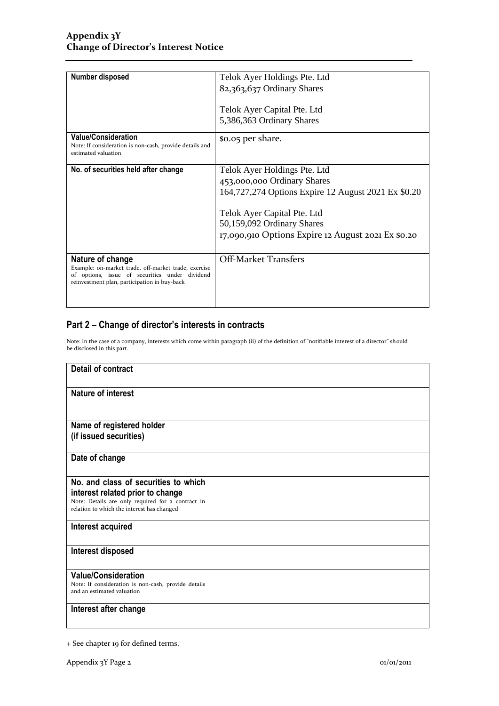| Number disposed                                                                                              | Telok Ayer Holdings Pte. Ltd                        |  |
|--------------------------------------------------------------------------------------------------------------|-----------------------------------------------------|--|
|                                                                                                              | 82,363,637 Ordinary Shares                          |  |
|                                                                                                              | Telok Ayer Capital Pte. Ltd                         |  |
|                                                                                                              | 5,386,363 Ordinary Shares                           |  |
|                                                                                                              |                                                     |  |
| <b>Value/Consideration</b><br>Note: If consideration is non-cash, provide details and<br>estimated valuation | \$0.05 per share.                                   |  |
| No. of securities held after change                                                                          | Telok Ayer Holdings Pte. Ltd                        |  |
|                                                                                                              | 453,000,000 Ordinary Shares                         |  |
|                                                                                                              | 164,727,274 Options Expire 12 August 2021 Ex \$0.20 |  |
|                                                                                                              | Telok Ayer Capital Pte. Ltd                         |  |
|                                                                                                              | 50,159,092 Ordinary Shares                          |  |
|                                                                                                              | 17,090,910 Options Expire 12 August 2021 Ex \$0.20  |  |
|                                                                                                              |                                                     |  |
| Nature of change<br>Example: on-market trade, off-market trade, exercise                                     | <b>Off-Market Transfers</b>                         |  |
| of options, issue of securities under dividend<br>reinvestment plan, participation in buy-back               |                                                     |  |
|                                                                                                              |                                                     |  |
|                                                                                                              |                                                     |  |

### **Part 2 – Change of director's interests in contracts**

Note: In the case of a company, interests which come within paragraph (ii) of the definition of "notifiable interest of a director" should be disclosed in this part.

| <b>Detail of contract</b>                                                                       |  |
|-------------------------------------------------------------------------------------------------|--|
| <b>Nature of interest</b>                                                                       |  |
| Name of registered holder                                                                       |  |
| (if issued securities)                                                                          |  |
| Date of change                                                                                  |  |
| No. and class of securities to which                                                            |  |
| interest related prior to change                                                                |  |
| Note: Details are only required for a contract in<br>relation to which the interest has changed |  |
| Interest acquired                                                                               |  |
|                                                                                                 |  |
| Interest disposed                                                                               |  |
| <b>Value/Consideration</b>                                                                      |  |
| Note: If consideration is non-cash, provide details<br>and an estimated valuation               |  |
| Interest after change                                                                           |  |
|                                                                                                 |  |

<sup>+</sup> See chapter 19 for defined terms.